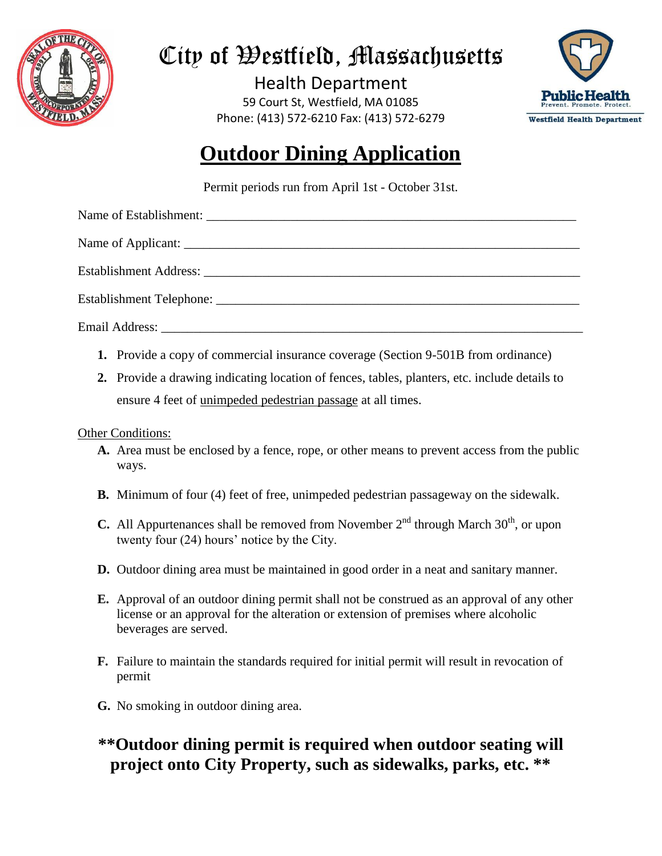

# City of Westfield, Massachusetts

Health Department 59 Court St, Westfield, MA 01085 Phone: (413) 572-6210 Fax: (413) 572-6279



## **Outdoor Dining Application**

Permit periods run from April 1st - October 31st.

Name of Applicant:

Name of Establishment:

Establishment Address:

Establishment Telephone:

Email Address:

- **1.** Provide a copy of commercial insurance coverage (Section 9-501B from ordinance)
- **2.** Provide a drawing indicating location of fences, tables, planters, etc. include details to ensure 4 feet of unimpeded pedestrian passage at all times.

Other Conditions:

- **A.** Area must be enclosed by a fence, rope, or other means to prevent access from the public ways.
- **B.** Minimum of four (4) feet of free, unimpeded pedestrian passageway on the sidewalk.
- **C.** All Appurtenances shall be removed from November  $2<sup>nd</sup>$  through March  $30<sup>th</sup>$ , or upon twenty four (24) hours' notice by the City.
- **D.** Outdoor dining area must be maintained in good order in a neat and sanitary manner.
- **E.** Approval of an outdoor dining permit shall not be construed as an approval of any other license or an approval for the alteration or extension of premises where alcoholic beverages are served.
- **F.** Failure to maintain the standards required for initial permit will result in revocation of permit
- **G.** No smoking in outdoor dining area.

### **\*\*Outdoor dining permit is required when outdoor seating will project onto City Property, such as sidewalks, parks, etc. \*\***